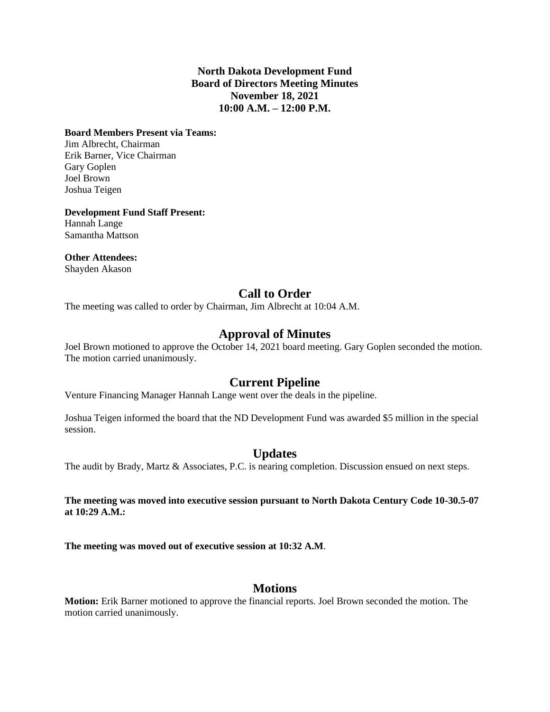#### **North Dakota Development Fund Board of Directors Meeting Minutes November 18, 2021 10:00 A.M. – 12:00 P.M.**

#### **Board Members Present via Teams:**

Jim Albrecht, Chairman Erik Barner, Vice Chairman Gary Goplen Joel Brown Joshua Teigen

**Development Fund Staff Present:** Hannah Lange

Samantha Mattson

**Other Attendees:**

Shayden Akason

# **Call to Order**

The meeting was called to order by Chairman, Jim Albrecht at 10:04 A.M.

# **Approval of Minutes**

Joel Brown motioned to approve the October 14, 2021 board meeting. Gary Goplen seconded the motion. The motion carried unanimously.

## **Current Pipeline**

Venture Financing Manager Hannah Lange went over the deals in the pipeline.

Joshua Teigen informed the board that the ND Development Fund was awarded \$5 million in the special session.

## **Updates**

The audit by Brady, Martz & Associates, P.C. is nearing completion. Discussion ensued on next steps.

**The meeting was moved into executive session pursuant to North Dakota Century Code 10-30.5-07 at 10:29 A.M.:**

**The meeting was moved out of executive session at 10:32 A.M**.

## **Motions**

**Motion:** Erik Barner motioned to approve the financial reports. Joel Brown seconded the motion. The motion carried unanimously.